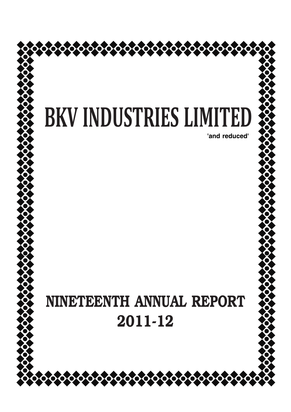

४००००००००००००००००००००००००

**'and reduced'**

# **NINETEENTH ANNUAL REPORT 2011-12**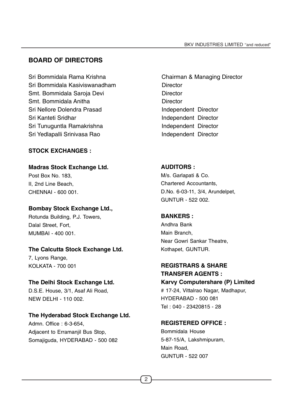# **BOARD OF DIRECTORS**

Sri Bommidala Rama Krishna **Chairman & Managing Director** Sri Bommidala Kasiviswanadham Director Smt. Bommidala Saroja Devi **Director** Director Smt. Bommidala Anitha **Director** Sri Nellore Dolendra Prasad Independent Director Sri Kanteti Sridhar **Independent Director** Sri Tunuguntla Ramakrishna **Independent Director** Sri Yedlapalli Srinivasa Rao **Independent Director** 

# **STOCK EXCHANGES :**

**Madras Stock Exchange Ltd.** Post Box No. 183,

II, 2nd Line Beach, CHENNAI - 600 001.

## **Bombay Stock Exchange Ltd.,**

Rotunda Building, P.J. Towers, Dalal Street, Fort, MUMBAI - 400 001.

## **The Calcutta Stock Exchange Ltd.**

7, Lyons Range, KOLKATA - 700 001

#### **The Delhi Stock Exchange Ltd.**

D.S.E. House, 3/1, Asaf Ali Road, NEW DELHI - 110 002.

#### **The Hyderabad Stock Exchange Ltd.**

Admn. Office : 6-3-654, Adjacent to Erramanjil Bus Stop, Somajiguda, HYDERABAD - 500 082

# **AUDITORS :**

M/s. Garlapati & Co. Chartered Accountants, D.No. 6-03-11, 3/4, Arundelpet, GUNTUR - 522 002.

#### **BANKERS :**

Andhra Bank Main Branch, Near Gowri Sankar Theatre, Kothapet, GUNTUR.

# **REGISTRARS & SHARE TRANSFER AGENTS : Karvy Computershare (P) Limited**

# 17-24, Vittalrao Nagar, Madhapur, HYDERABAD - 500 081 Tel : 040 - 23420815 - 28

## **REGISTERED OFFICE :**

Bommidala House 5-87-15/A, Lakshmipuram, Main Road, GUNTUR - 522 007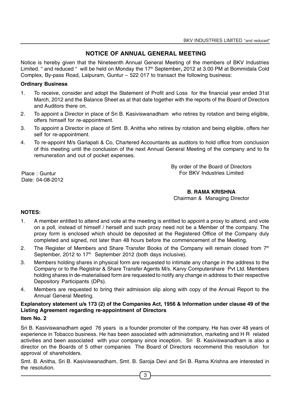# **NOTICE OF ANNUAL GENERAL MEETING**

Notice is hereby given that the Nineteenth Annual General Meeting of the members of BKV Industries Limited. " and reduced " will be held on Monday the 17<sup>th</sup> September, 2012 at 3.00 PM at Bommidala Cold Complex, By-pass Road, Lalpuram, Guntur – 522 017 to transact the following business:

#### **Ordinary Business**

- 1. To receive, consider and adopt the Statement of Profit and Loss for the financial year ended 31st March, 2012 and the Balance Sheet as at that date together with the reports of the Board of Directors and Auditors there on.
- 2. To appoint a Director in place of Sri B. Kasiviswanadham who retires by rotation and being eligible, offers himself for re-appointment.
- 3. To appoint a Director in place of Smt. B. Anitha who retires by rotation and being eligible, offers her self for re-appointment.
- 4. To re-appoint M/s Garlapati & Co, Chartered Accountants as auditors to hold office from conclusion of this meeting until the conclusion of the next Annual General Meeting of the company and to fix remuneration and out of pocket expenses.

By order of the Board of Directors For BKV Industries Limited

Place : Guntur Date: 04-08-2012

**B. RAMA KRISHNA**

Chairman & Managing Director

#### **NOTES:**

- 1. A member entitled to attend and vote at the meeting is entitled to appoint a proxy to attend, and vote on a poll, instead of himself / herself and such proxy need not be a Member of the company. The proxy form is enclosed which should be deposited at the Registered Office of the Company duly completed and signed, not later than 48 hours before the commencement of the Meeting.
- 2. The Register of Members and Share Transfer Books of the Company will remain closed from  $7<sup>th</sup>$ September, 2012 to 17<sup>th</sup> September 2012 (both days inclusive).
- 3. Members holding shares in physical form are requested to intimate any change in the address to the Company or to the Registrar & Share Transfer Agents M/s. Karvy Computershare Pvt Ltd. Members holding shares in de-materialised form are requested to notify any change in address to their respective Depository Participants (DPs).
- 4. Members are requested to bring their admission slip along with copy of the Annual Report to the Annual General Meeting.

# **Explanatory statement u/s 173 (2) of the Companies Act, 1956 & Information under clause 49 of the Listing Agreement regarding re-appointment of Directors**

#### **Item No. 2**

Sri B. Kasiviswanadham aged 76 years is a founder promoter of the company. He has over 48 years of experience in Tobacco business. He has been associated with administration, marketing and H R related activities and been associated with your company since inception. Sri B. Kasiviswanadham is also a director on the Boards of 5 other companies The Board of Directors recommend this resolution for approval of shareholders.

Smt. B. Anitha, Sri B. Kasiviswanadham, Smt. B. Saroja Devi and Sri B. Rama Krishna are interested in the resolution.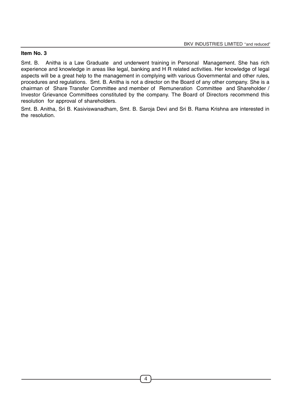#### **Item No. 3**

Smt. B. Anitha is a Law Graduate and underwent training in Personal Management. She has rich experience and knowledge in areas like legal, banking and H R related activities. Her knowledge of legal aspects will be a great help to the management in complying with various Governmental and other rules, procedures and regulations. Smt. B. Anitha is not a director on the Board of any other company. She is a chairman of Share Transfer Committee and member of Remuneration Committee and Shareholder / Investor Grievance Committees constituted by the company. The Board of Directors recommend this resolution for approval of shareholders.

Smt. B. Anitha, Sri B. Kasiviswanadham, Smt. B. Saroja Devi and Sri B. Rama Krishna are interested in the resolution.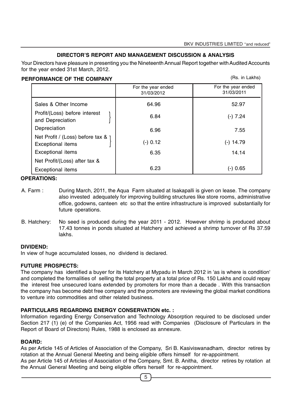(Rs. in Lakhs)

#### **DIRECTOR'S REPORT AND MANAGEMENT DISCUSSION & ANALYSIS**

Your Directors have pleasure in presenting you the Nineteenth Annual Report together with Audited Accounts for the year ended 31st March, 2012.

#### **PERFORMANCE OF THE COMPANY**

|                                                         | For the year ended<br>31/03/2012 | For the year ended<br>31/03/2011 |
|---------------------------------------------------------|----------------------------------|----------------------------------|
| Sales & Other Income                                    | 64.96                            | 52.97                            |
| Profit/(Loss) before interest<br>and Depreciation       | 6.84                             | $(-) 7.24$                       |
| Depreciation                                            | 6.96                             | 7.55                             |
| Net Profit / (Loss) before tax & \<br>Exceptional items | $(-)$ 0.12                       | $(-)$ 14.79                      |
| <b>Exceptional items</b>                                | 6.35                             | 14.14                            |
| Net Profit/(Loss) after tax &                           |                                  |                                  |
| Exceptional items                                       | 6.23                             | $(-)$ 0.65                       |

#### **OPERATIONS:**

- A. Farm : During March, 2011, the Aqua Farm situated at Isakapalli is given on lease. The company also invested adequately for improving building structures like store rooms, administrative office, godowns, canteen etc so that the entire infrastructure is improved substantially for future operations.
- B. Hatchery: No seed is produced during the year 2011 2012. However shrimp is produced about 17.43 tonnes in ponds situated at Hatchery and achieved a shrimp turnover of Rs 37.59 lakhs.

#### **DIVIDEND:**

In view of huge accumulated losses, no dividend is declared.

#### **FUTURE PROSPECTS:**

The company has identified a buyer for its Hatchery at Mypadu in March 2012 in 'as is where is condition' and completed the formalities of selling the total property at a total price of Rs. 150 Lakhs and could repay the interest free unsecured loans extended by promoters for more than a decade . With this transaction the company has become debt free company and the promoters are reviewing the global market conditions to venture into commodities and other related business.

#### **PARTICULARS REGARDING ENERGY CONSERVATION etc. :**

Information regarding Energy Conservation and Technology Absorption required to be disclosed under Section 217 (1) (e) of the Companies Act, 1956 read with Companies (Disclosure of Particulars in the Report of Board of Directors) Rules, 1988 is enclosed as annexure.

#### **BOARD:**

As per Article 145 of Articles of Association of the Company, Sri B. Kasiviswanadham, director retires by rotation at the Annual General Meeting and being eligible offers himself for re-appointment.

As per Article 145 of Articles of Association of the Company, Smt. B. Anitha, director retires by rotation at the Annual General Meeting and being eligible offers herself for re-appointment.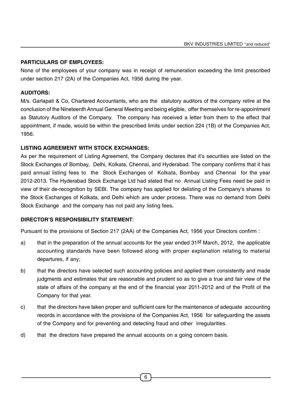## **PARTICULARS OF EMPLOYEES:**

None of the employees of your company was in receipt of remuneration exceeding the limit prescribed under section 217 (2A) of the Companies Act, 1956 during the year.

## **AUDITORS:**

M/s. Garlapati & Co, Chartered Accountants, who are the statutory auditors of the company retire at the conclusion of the Nineteenth Annual General Meeting and being eligible, offer themselves for re-appointment as Statutory Auditors of the Company. The company has received a letter from them to the effect that appointment, if made, would be within the prescribed limits under section 224 (1B) of the Companies Act, 1956.

# **LISTING AGREEMENT WITH STOCK EXCHANGES:**

As per the requirement of Listing Agreement, the Company declares that it's securities are listed on the Stock Exchanges of Bombay, Delhi, Kolkata, Chennai, and Hyderabad. The company confirms that it has paid annual listing fees to the Stock Exchanges of Kolkata, Bombay and Chennai for the year 2012-2013. The Hyderabad Stock Exchange Ltd had stated that no Annual Listing Fees need be paid in view of their de-recognition by SEBI. The company has applied for delisting of the Company's shares to the Stock Exchanges of Kolkata, and Delhi which are under process. There was no demand from Delhi Stock Exchange and the company has not paid any listing fees**.**

## **DIRECTOR'S RESPONSIBILITY STATEMENT**:

Pursuant to the provisions of Section 217 (2AA) of the Companies Act, 1956 your Directors confirm :

- a) that in the preparation of the annual accounts for the year ended 31<sup>st</sup> March, 2012, the applicable accounting standards have been followed along with proper explanation relating to material departures, if any;
- b) that the directors have selected such accounting policies and applied them consistently and made judgments and estimates that are reasonable and prudent so as to give a true and fair view of the state of affairs of the company at the end of the financial year 2011-2012 and of the Profit of the Company for that year.
- c) that the directors have taken proper and sufficient care for the maintenance of adequate accounting records in accordance with the provisions of the Companies Act, 1956 for safeguarding the assets of the Company and for preventing and detecting fraud and other irregularities.
- d) that the directors have prepared the annual accounts on a going concern basis.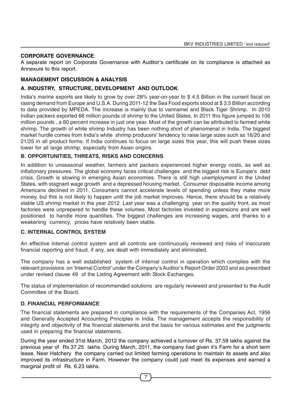#### **CORPORATE GOVERNANCE**:

A separate report on Corporate Governance with Auditor's certificate on its compliance is attached as Annexure to this report.

#### **MANAGEMENT DISCUSSION & ANALYSIS**

#### **A. INDUSTRY, STRUCTURE, DEVELOPMENT AND OUTLOOK**.

India's marine exports are likely to grow by over 28% year-on-year to \$ 4.5 Billion in the current fiscal on rasing demand from Europe and U.S.A. During 2011-12 the Sea Food exports stood at \$ 3.5 Billion according to data provided by MPEDA. The increase is mainly due to vannamei and Black Tiger Shrimp. In 2010 Indian packers exported 66 million pounds of shrimp to the United States. In 2011 this figure jumped to 106 million pounds , a 60 percent increase in just one year. Most of the growth can be attributed to farmed white shrimp. The growth of white shrimp Industry has been nothing short of phenomenal in India. The biggest market hurdle comes from India's white shrimp producers' tendency to raise large sizes such as 16/20 and 21/25 in all product forms. If India continues to focus on large sizes this year, this will push these sizes lower for all large shrimp, especially from Asian origins.

#### **B. OPPORTUNITIES, THREATS, RISKS AND CONCERNS**

In addition to unseasonal weather, farmers and packers experienced higher energy costs, as well as inflationary pressures. The global economy faces critical challenges and the biggest risk is Europe's debt crisis. Growth is slowing in emerging Asian economies. There is still high unemployment in the United States, with stagnant wage growth and a depressed housing market. Consumer disposable income among Americans declined in 2011. Consumers cannot accelerate levels of spending unless they make more money, but this is not likely to happen until the job market improves. Hence, there should be a relatively stable US shrimp market in the year 2012. Last year was a challenging year on the quality front, as most factories were unprepared to handle these volumes. Most factories invested in expansions and are well positioned to handle more quantities. The biggest challenges are increasing wages, and thanks to a weakening currency, prices have relatively been stable.

#### **C. INTERNAL CONTROL SYSTEM**

An effective internal control system and all controls are continuously reviewed and risks of inaccurate financial reporting and fraud, if any, are dealt with immediately and eliminated.

The company has a well established system of internal control in operation which complies with the relevant provisions on 'Internal Control' under the Company's Auditor's Report Order 2003 and as prescribed under revised clause 49 of the Listing Agreement with Stock Exchanges.

The status of implementation of recommended solutions are regularly reviewed and presented to the Audit Committee of the Board.

#### **D. FINANCIAL PERFORMANCE**

The financial statements are prepared in compliance with the requirements of the Companies Act, 1956 and Generally Accepted Accounting Principles in India. The management accepts the responsibility of integrity and objectivity of the financial statements and the basis for various estimates and the judgments used in preparing the financial statements.

During the year ended 31st March, 2012 the company achieved a turnover of Rs. 37.59 lakhs against the previous year of Rs.37.25 lakhs. During March, 2011, the company had given it's Farm for a short term lease. Near Hatchery the company carried out limited farming operations to maintain its assets and also improved its infrastructure in Farm. However the company could just meet its expenses and earned a marginal profit of Rs. 6.23 lakhs.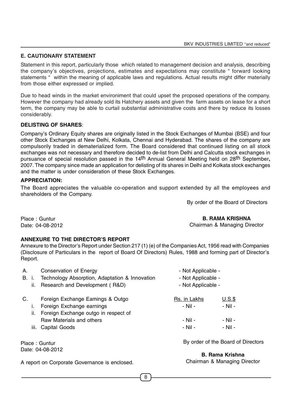## **E. CAUTIONARY STATEMENT**

Statement in this report, particularly those which related to management decision and analysis, describing the company's objectives, projections, estimates and expectations may constitute " forward looking statements " within the meaning of applicable laws and regulations. Actual results might differ materially from those either expressed or implied.

Due to head winds in the market environiment that could upset the proposed operations of the company. However the company had already sold its Hatchery assets and given the farm assets on lease for a short term, the company may be able to curtail substantial administrative costs and there by reduce its losses considerably.

#### **DELISTING OF SHARES**:

Company's Ordinary Equity shares are originally listed in the Stock Exchanges of Mumbai (BSE) and four other Stock Exchanges at New Delhi, Kolkata, Chennai and Hyderabad. The shares of the company are compulsorily traded in dematerialized form. The Board considered that continued listing on all stock exchanges was not necessary and therefore decided to de-list from Delhi and Calcutta stock exchanges in pursuance of special resolution passed in the 14th Annual General Meeting held on 28th September**,** 2007. The company since made an application for delisting of its shares in Delhi and Kolkata stock exchanges and the matter is under consideration of these Stock Exchanges.

#### **APPRECIATION:**

The Board appreciates the valuable co-operation and support extended by all the employees and shareholders of the Company.

By order of the Board of Directors

Place : Guntur Date: 04-08-2012

## **B. RAMA KRISHNA**

Chairman & Managing Director

#### **ANNEXURE TO THE DIRECTOR'S REPORT**

Annexure to the Director's Report under Section 217 (1) (e) of the Companies Act, 1956 read with Companies (Disclosure of Particulars in the report of Board Of Directors) Rules, 1988 and forming part of Director's Report.

| А. | B. i.<br>ii. | Conservation of Energy<br>Technology Absorption, Adaptation & Innovation<br>Research and Development (R&D) | - Not Applicable -<br>- Not Applicable -<br>- Not Applicable - |         |
|----|--------------|------------------------------------------------------------------------------------------------------------|----------------------------------------------------------------|---------|
| C. |              | Foreign Exchange Eamings & Outgo                                                                           | Rs. in Lakhs                                                   | $U.S.\$ |
|    |              |                                                                                                            |                                                                |         |
|    |              | Foreign Exchange earnings                                                                                  | - Nil -                                                        | - Nil - |
|    | ii.          | Foreign Exchange outgo in respect of                                                                       |                                                                |         |
|    |              | Raw Materials and others                                                                                   | - Nil -                                                        | - Nil - |
|    |              | iii. Capital Goods                                                                                         | - Nil -                                                        | - Nil - |
|    |              |                                                                                                            |                                                                |         |

Place : Guntur Date: 04-08-2012 By order of the Board of Directors

**B. Rama Krishna** Chairman & Managing Director

A report on Corporate Governance is enclosed.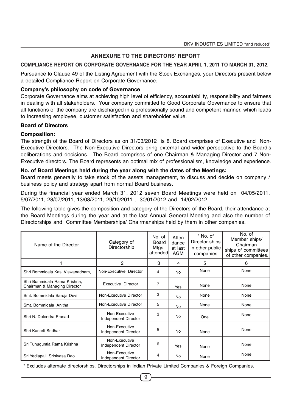#### **ANNEXURE TO THE DIRECTORS' REPORT**

#### **COMPLIANCE REPORT ON CORPORATE GOVERNANCE FOR THE YEAR APRIL 1, 2011 TO MARCH 31, 2012.**

Pursuance to Clause 49 of the Listing Agreement with the Stock Exchanges, your Directors present below a detailed Compliance Report on Corporate Governance:

#### **Company's philosophy on code of Governance**

Corporate Governance aims at achieving high level of efficiency, accountability, responsibility and fairness in dealing with all stakeholders. Your company committed to Good Corporate Governance to ensure that all functions of the company are discharged in a professionally sound and competent manner, which leads to increasing employee, customer satisfaction and shareholder value.

#### **Board of Directors**

#### **Composition:**

The strength of the Board of Directors as on 31/03/2012 is 8. Board comprises of Executive and Non-Executive Directors. The Non-Executive Directors bring external and wider perspective to the Board's deliberations and decisions. The Board comprises of one Chairman & Managing Director and 7 Non-Executive directors. The Board represents an optimal mix of professionalism, knowledge and experience.

#### **No. of Board Meetings held during the year along with the dates of the Meetings:**

Board meets generally to take stock of the assets management, to discuss and decide on company / business policy and strategy apart from normal Board business.

During the financial year ended March 31, 2012 seven Board Meetings were held on 04/05/2011, 5/07/2011, 28/07/2011, 13/08/2011, 29/10/2011 , 30/01/2012 and 14/02/2012.

The following table gives the composition and category of the Directors of the Board, their attendance at the Board Meetings during the year and at the last Annual General Meeting and also the number of Directorships and Committee Memberships/ Chairmanships held by them in other companies.

| Name of the Director                                         | Category of<br>Directorship           | No. of<br><b>Board</b><br>Mtgs.<br>attendedl | Atten<br>dance<br>at last<br>AGM | * No. of<br>Director-ships<br>in other public<br>companies | No. of<br>Member ships/<br>Chairman<br>ships of committees<br>of other companies. |
|--------------------------------------------------------------|---------------------------------------|----------------------------------------------|----------------------------------|------------------------------------------------------------|-----------------------------------------------------------------------------------|
|                                                              | 2                                     | 3                                            | 4                                | 5                                                          | 6                                                                                 |
| Shri Bommidala Kasi Viswanadham,                             | Non-Executive Director                | 4                                            | <b>No</b>                        | None                                                       | None                                                                              |
| Shri Bommidala Rama Krishna,<br>Chairman & Managing Director | Executive Director                    | 7                                            | Yes                              | None                                                       | None                                                                              |
| Smt. Bommidala Saroja Devi                                   | Non-Executive Director                | 3                                            | No                               | None                                                       | None                                                                              |
| Smt. Bommidala Anitha                                        | Non-Executive Director                | 5                                            | No                               | None                                                       | None                                                                              |
| Shri N. Dolendra Prasad                                      | Non-Executive<br>Independent Director | 3                                            | No                               | One                                                        | None                                                                              |
| Shri Kanteti Sridhar                                         | Non-Executive<br>Independent Director | 5                                            | No                               | None                                                       | None                                                                              |
| Sri Tunuguntla Rama Krishna                                  | Non-Executive<br>Independent Director | 6                                            | Yes                              | None                                                       | None                                                                              |
| Sri Yedlapalli Srinivasa Rao                                 | Non-Executive<br>Independent Director | 4                                            | No                               | None                                                       | None                                                                              |

\* Excludes alternate directorships, Directorships in Indian Private Limited Companies & Foreign Companies.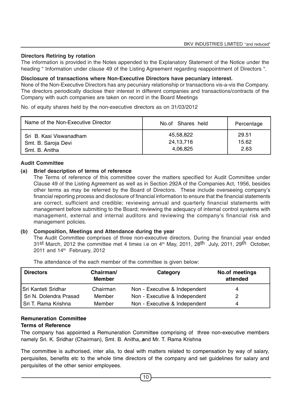#### **Directors Retiring by rotation**

The information is provided in the Notes appended to the Explanatory Statement of the Notice under the heading " Information under clause 49 of the Listing Agreement regarding reappointment of Directors ".

#### **Disclosure of transactions where Non-Executive Directors have pecuniary interest.**

None of the Non-Executive Directors has any pecuniary relationship or transactions vis-a-vis the Company. The directors periodically disclose their interest in different companies and transactions/contracts of the Company with such companies are taken on record in the Board Meetings

No. of equity shares held by the non-executive directors as on 31/03/2012

| Name of the Non-Executive Director | No.of Shares held | Percentage |
|------------------------------------|-------------------|------------|
| Sri B. Kasi Viswanadham            | 45,58,822         | 29.51      |
| Smt. B. Saroja Devi                | 24, 13, 716       | 15.62      |
| Smt. B. Anitha                     | 4,06,825          | 2.63       |

#### **Audit Committee**

#### **(a) Brief description of terms of reference**

The Terms of reference of this committee cover the matters specified for Audit Committee under Clause 49 of the Listing Agreement as well as in Section 292A of the Companies Act, 1956, besides other terms as may be referred by the Board of Directors. These include overseeing company's financial reporting process and disclosure of financial information to ensure that the financial statements are correct, sufficient and credible; reviewing annual and quarterly financial statements with management before submitting to the Board; reviewing the adequacy of internal control systems with management, external and internal auditors and reviewing the company's financial risk and management policies.

#### **(b) Composition, Meetings and Attendance during the year**

The Audit Committee comprises of three non-executive directors. During the financial year ended 31st March, 2012 the committee met 4 times i.e on  $4<sup>th</sup>$  May, 2011, 28<sup>th</sup> July, 2011, 29<sup>th</sup> October, 2011 and 14<sup>th</sup> February, 2012

| <b>Directors</b>       | Chairman/<br><b>Member</b> | Category                      | No.of meetings<br>attended |
|------------------------|----------------------------|-------------------------------|----------------------------|
| Sri Kanteti Sridhar    | Chairman                   | Non - Executive & Independent | 4                          |
| Sri N. Dolendra Prasad | Member                     | Non - Executive & Independent |                            |
| Sri T. Rama Krishna    | Member                     | Non - Executive & Independent | 4                          |

The attendance of the each member of the committee is given below:

# **Remuneration Committee**

# **Terms of Reference**

The company has appointed a Remuneration Committee comprising of three non-executive members namely Sri. K. Sridhar (Chairman), Smt. B. Anitha,.**a**nd Mr. T. Rama Krishna

The committee is authorised, inter alia, to deal with matters related to compensation by way of salary, perquisites, benefits etc to the whole time directors of the company and set guidelines for salary and perquisites of the other senior employees.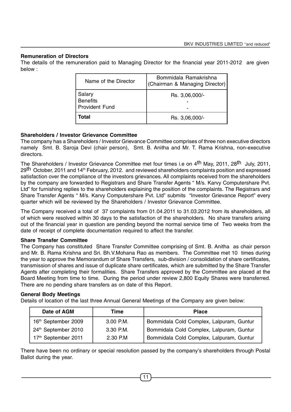#### **Remuneration of Directors**

The details of the remuneration paid to Managing Director for the financial year 2011-2012 are given below :

| Name of the Director                               | Bommidala Ramakrishna<br>(Chairman & Managing Director) |
|----------------------------------------------------|---------------------------------------------------------|
| Salary<br><b>Benefits</b><br><b>Provident Fund</b> | Rs. 3,06,000/-                                          |
| Total                                              | Rs. 3,06,000/-                                          |

#### **Shareholders / Investor Grievance Committee**

The company has a Shareholders / Investor Grievance Committee comprises of three non executive directors namely Smt. B. Saroja Devi (chair person), Smt. B. Anitha and Mr. T. Rama Krishna, non-executive directors.

The Shareholders / Investor Grievance Committee met four times i.e on 4th May, 2011, 28th July, 2011, 29th October, 2011 and 14th February, 2012.and reviewed shareholders complaints position and expressed satisfaction over the compliance of the investors grievances. All complaints received from the shareholders by the company are forwarded to Registrars and Share Transfer Agents " M/s. Karvy Computershare Pvt. Ltd" for furnishing replies to the shareholders explaining the position of the complaints. The Registrars and Share Transfer Agents " M/s. Karvy Computershare Pvt. Ltd" submits "Investor Grievance Report" every quarter which will be reviewed by the Shareholders / Investor Grievance Committee.

The Company received a total of 37 complaints from 01.04.2011 to 31.03.2012 from its shareholders, all of which were resolved within 30 days to the satisfaction of the shareholders. No share transfers arising out of the financial year in question are pending beyond the normal service time of Two weeks from the date of receipt of complete documentation required to affect the transfer.

#### **Share Transfer Committee**

The Company has constituted Share Transfer Committee comprising of Smt. B. Anitha as chair person and Mr. B. Rama Krishna and Sri. Bh.V.Mohana Rao as members. The Committee met 10 times during the year to approve the Memorandum of Share Transfers, sub-division / consolidation of share certificates, transmission of shares and issue of duplicate share certificates, which are submitted by the Share Transfer Agents after completing their formalities. Share Transfers approved by the Committee are placed at the Board Meeting from time to time. During the period under review 2,800 Equity Shares were transferred. There are no pending share transfers as on date of this Report.

#### **General Body Meetings**

Details of location of the last three Annual General Meetings of the Company are given below:

| Date of AGM         | Time        | <b>Place</b>                             |
|---------------------|-------------|------------------------------------------|
| 16th September 2009 | $3.00$ P.M. | Bommidala Cold Complex, Lalpuram, Guntur |
| 24th September 2010 | $3.30$ P.M. | Bommidala Cold Complex, Lalpuram, Guntur |
| 17th September 2011 | 2.30 P.M    | Bommidala Cold Complex, Lalpuram, Guntur |

There have been no ordinary or special resolution passed by the company's shareholders through Postal Ballot during the year.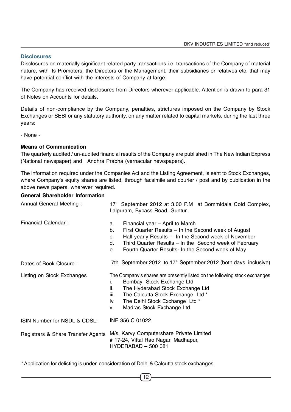#### **Disclosures**

Disclosures on materially significant related party transactions i.e. transactions of the Company of material nature, with its Promoters, the Directors or the Management, their subsidiaries or relatives etc. that may have potential conflict with the interests of Company at large:

The Company has received disclosures from Directors wherever applicable. Attention is drawn to para 31 of Notes on Accounts for details.

Details of non-compliance by the Company, penalties, strictures imposed on the Company by Stock Exchanges or SEBI or any statutory authority, on any matter related to capital markets, during the last three years:

- None -

#### **Means of Communication**

The quarterly audited / un-audited financial results of the Company are published in The New Indian Express (National newspaper) and Andhra Prabha (vernacular newspapers).

The information required under the Companies Act and the Listing Agreement, is sent to Stock Exchanges, where Company's equity shares are listed, through facsimile and courier / post and by publication in the above news papers. wherever required.

#### **General Shareholder Information**

| Annual General Meeting:            | 17 <sup>th</sup> September 2012 at 3.00 P.M at Bommidala Cold Complex,<br>Lalpuram, Bypass Road, Guntur.                                                                                                                                                                                              |  |  |
|------------------------------------|-------------------------------------------------------------------------------------------------------------------------------------------------------------------------------------------------------------------------------------------------------------------------------------------------------|--|--|
| <b>Financial Calendar:</b>         | Financial year – April to March<br>a.<br>First Quarter Results – In the Second week of August<br>b.<br>Half yearly Results - In the Second week of November<br>$C_{\cdot}$<br>Third Quarter Results – In the Second week of February<br>d.<br>Fourth Quarter Results- In the Second week of May<br>e. |  |  |
| Dates of Book Closure:             | 7th September 2012 to 17 <sup>th</sup> September 2012 (both days inclusive)                                                                                                                                                                                                                           |  |  |
| Listing on Stock Exchanges         | The Company's shares are presently listed on the following stock exchanges<br>Bombay Stock Exchange Ltd<br>i.<br>The Hyderabad Stock Exchange Ltd<br>ii.<br>The Calcutta Stock Exchange Ltd *<br>iii.<br>The Delhi Stock Exchange Ltd *<br>İV.<br>Madras Stock Exchange Ltd<br>V.                     |  |  |
| ISIN Number for NSDL & CDSL:       | INE 356 C 01022                                                                                                                                                                                                                                                                                       |  |  |
| Registrars & Share Transfer Agents | M/s. Karvy Computershare Private Limited<br># 17-24, Vittal Rao Nagar, Madhapur,<br><b>HYDERABAD - 500 081</b>                                                                                                                                                                                        |  |  |

\* Application for delisting is under consideration of Delhi & Calcutta stock exchanges.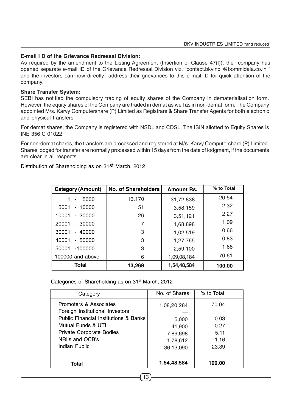## **E-mail I D of the Grievance Redressal Division:**

As required by the amendment to the Listing Agreement (Insertion of Clause 47(f)), the company has opened separate e-mail ID of the Grievance Redressal Division viz. "contact.bkvind @bommidala.co.in " and the investors can now directly address their grievances to this e-mail ID for quick attention of the company.

#### **Share Transfer System:**

SEBI has notified the compulsory trading of equity shares of the Company in dematerialisation form. However, the equity shares of the Company are traded in demat as well as in non-demat form. The Company appointed M/s. Karvy Computershare (P) Limited as Registrars & Share Transfer Agents for both electronic and physical transfers.

For demat shares, the Company is registered with NSDL and CDSL. The ISIN allotted to Equity Shares is INE 356 C 01022

For non-demat shares, the transfers are processed and registered at M/**s**. Karvy Computershare (P) Limited. Shares lodged for transfer are normally processed within 15 days from the date of lodgment, if the documents are clear in all respects.

Distribution of Shareholding as on 31st March, 2012

| <b>Category (Amount)</b>                      | No. of Shareholders | <b>Amount Rs.</b> | % to Total |
|-----------------------------------------------|---------------------|-------------------|------------|
| 5000<br>$\qquad \qquad \blacksquare$          | 13,170              | 31,72,838         | 20.54      |
| 10000<br>5001<br>$\qquad \qquad \blacksquare$ | 51                  | 3,58,159          | 2.32       |
| 10001<br>$-20000$                             | 26                  | 3,51,121          | 2.27       |
| 20001<br>30000<br>$\blacksquare$              | 7                   | 1,68,898          | 1.09       |
| 30001<br>$-40000$                             | 3                   | 1,02,519          | 0.66       |
| 40001<br>50000<br>$\blacksquare$              | 3                   | 1,27,765          | 0.83       |
| $-100000$<br>50001                            | 3                   | 2,59,100          | 1.68       |
| 100000 and above                              | 6                   | 1,09,08,184       | 70.61      |
| <b>Total</b>                                  | 13,269              | 1,54,48,584       | 100.00     |

Categories of Shareholding as on 31<sup>st</sup> March, 2012

| Category                                         | No. of Shares | % to Total |
|--------------------------------------------------|---------------|------------|
| Promoters & Associates                           | 1,08,20,284   | 70.04      |
| Foreign Institutional Investors                  |               |            |
| <b>Public Financial Institutions &amp; Banks</b> | 5,000         | 0.03       |
| Mutual Funds & UTI                               | 41,900        | 0.27       |
| <b>Private Corporate Bodies</b>                  | 7,89,698      | 5.11       |
| NRI's and OCB's                                  | 1,78,612      | 1.16       |
| Indian Public                                    | 36,13,090     | 23.39      |
|                                                  |               |            |
| Total                                            | 1,54,48,584   | 100.00     |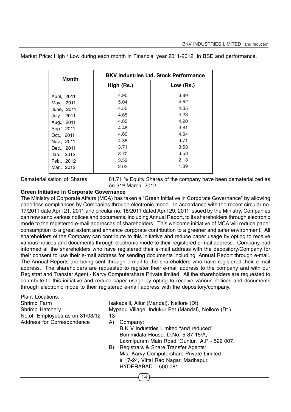| <b>Month</b> | <b>BKV Industries Ltd. Stock Performance</b> |           |  |  |
|--------------|----------------------------------------------|-----------|--|--|
|              | High (Rs.)                                   | Low (Rs.) |  |  |
| April, 2011  | 4.90                                         | 3.89      |  |  |
| May, 2011    | 5.04                                         | 4.52      |  |  |
| June, 2011   | 4.55                                         | 4.35      |  |  |
| July, 2011   | 4.65                                         | 4.23      |  |  |
| Aug., 2011   | 4.65                                         | 4.20      |  |  |
| Sep.' 2011   | 4.46                                         | 3.81      |  |  |
| Oct., 2011   | 4.60                                         | 4.04      |  |  |
| Nov., 2011   | 4.35                                         | 3.71      |  |  |
| Dec., 2011   | 3.71                                         | 3.53      |  |  |
| Jan., 2012   | 3.70                                         | 3.53      |  |  |
| Feb., 2012   | 3.52                                         | 2.13      |  |  |
| Mar., 2012   | 2.03                                         | 1.39      |  |  |

Market Price: High / Low during each month in Financial year 2011-2012 in BSE and performance.

Dematerialisation of Shares 81.71 % Equity Shares of the company have been dematerialized as on 31st March, 2012.

#### **Green Initiative in Corporate Governance**

The Ministry of Corporate Affairs (MCA) has taken a "Green Initiative in Corporate Governance" by allowing paperless compliances by Companies through electronic mode. In accordance with the recent circular no. 17/2011 date April 21, 2011 and circular no. 18/2011 dated April 29, 2011 issued by the Ministry, Companies can now send various notices and documents, including Annual Report, to its shareholders through electronic mode to the registered e-mail addresses of shareholders. This welcome initiative of MCA will reduce paper consumption to a great extent and enhance corporate contribution to a greener and safer environment. All shareholders of the Company can contribute to this initiative and reduce paper usage by opting to receive various notices and documents through electronic mode to their registered e-mail address. Company had informed all the shareholders who have registered their e-mail address with the depository/Company for their consent to use their e-mail address for sending documents including Annual Report through e-mail. The Annual Reports are being sent through e-mail to the shareholders who have registered their e-mail address. The shareholders are requested to register their e-mail address to the company and with our Registrat and Transfer Agent - Karvy Computershare Private limited. All the shareholders are requested to contribute to this initiative and reduce paper usage by opting to receive various notices and documents through electronic mode to their registered e-mail address with the depository/company.

14

Plant Locations: No.of Employees as on 31/03/12 13 Address for Correspondence A) Company:

Shrimp Farm Isakapalli, Allur (Mandal), Nellore (Dt) Shrimp Hatchery Mypadu Village, Indukur Pet (Mandal), Nellore (Dt.)

- 
- B K V Industries Limited "and reduced" Bommidala House, D.No. 5-87-15/A, Laxmipuram Main Road, Guntur, A.P - 522 007. B) Registrars & Share Transfer Agents: M/s. Karvy Computershare Private Limited # 17-24, Vittal Rao Nagar, Madhapur, HYDERABAD – 500 081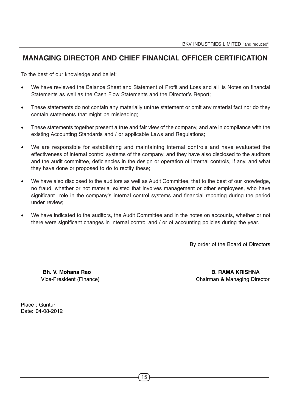# **MANAGING DIRECTOR AND CHIEF FINANCIAL OFFICER CERTIFICATION**

To the best of our knowledge and belief:

- We have reviewed the Balance Sheet and Statement of Profit and Loss and all its Notes on financial Statements as well as the Cash Flow Statements and the Director's Report;
- These statements do not contain any materially untrue statement or omit any material fact nor do they contain statements that might be misleading;
- These statements together present a true and fair view of the company, and are in compliance with the existing Accounting Standards and / or applicable Laws and Regulations;
- We are responsible for establishing and maintaining internal controls and have evaluated the effectiveness of internal control systems of the company, and they have also disclosed to the auditors and the audit committee, deficiencies in the design or operation of internal controls, if any, and what they have done or proposed to do to rectify these;
- We have also disclosed to the auditors as well as Audit Committee, that to the best of our knowledge, no fraud, whether or not material existed that involves management or other employees, who have significant role in the company's internal control systems and financial reporting during the period under review;
- We have indicated to the auditors, the Audit Committee and in the notes on accounts, whether or not there were significant changes in internal control and / or of accounting policies during the year.

By order of the Board of Directors

**Bh. V. Mohana Rao B. RAMA KRISHNA** Vice-President (Finance) Chairman & Managing Director

Place : Guntur Date: 04-08-2012

15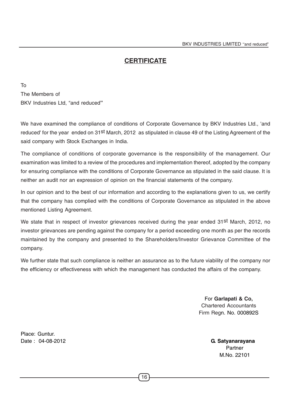# **CERTIFICATE**

To The Members of BKV Industries Ltd, "and reduced**"**

We have examined the compliance of conditions of Corporate Governance by BKV Industries Ltd., 'and reduced' for the year ended on 31st March, 2012 as stipulated in clause 49 of the Listing Agreement of the said company with Stock Exchanges in India.

The compliance of conditions of corporate governance is the responsibility of the management. Our examination was limited to a review of the procedures and implementation thereof, adopted by the company for ensuring compliance with the conditions of Corporate Governance as stipulated in the said clause. It is neither an audit nor an expression of opinion on the financial statements of the company.

In our opinion and to the best of our information and according to the explanations given to us, we certify that the company has complied with the conditions of Corporate Governance as stipulated in the above mentioned Listing Agreement.

We state that in respect of investor grievances received during the year ended 31st March, 2012, no investor grievances are pending against the company for a period exceeding one month as per the records maintained by the company and presented to the Shareholders/Investor Grievance Committee of the company.

We further state that such compliance is neither an assurance as to the future viability of the company nor the efficiency or effectiveness with which the management has conducted the affairs of the company.

> For **Garlapati & Co,** Chartered Accountants Firm Regn. No. 000892S

Place: Guntur. Date : 04-08-2012 **G. Satyanarayana**

 Partner M.No. 22101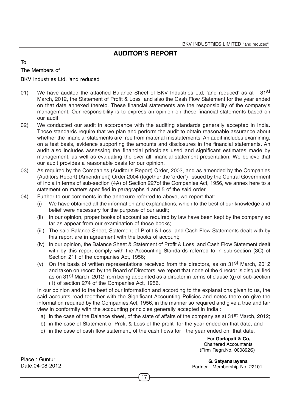# **AUDITOR'S REPORT**

To

The Members of

BKV Industries Ltd. 'and reduced'

- 01) We have audited the attached Balance Sheet of BKV Industries Ltd, 'and reduced' as at 31st March, 2012, the Statement of Profit & Loss and also the Cash Flow Statement for the year ended on that date annexed thereto. These financial statements are the responsibility of the company's management. Our responsibility is to express an opinion on these financial statements based on our audit.
- 02) We conducted our audit in accordance with the auditing standards generally accepted in India. Those standards require that we plan and perform the audit to obtain reasonable assurance about whether the financial statements are free from material misstatements. An audit includes examining, on a test basis, evidence supporting the amounts and disclosures in the financial statements. An audit also includes assessing the financial principles used and significant estimates made by management, as well as evaluating the over all financial statement presentation. We believe that our audit provides a reasonable basis for our opinion.
- 03) As required by the Companies (Auditor's Report) Order, 2003, and as amended by the Companies (Auditors Report) (Amendment) Order 2004 (together the 'order') issued by the Central Government of India in terms of sub-section (4A) of Section 227of the Companies Act, 1956, we annex here to a statement on matters specified in paragraphs 4 and 5 of the said order.
- 04) Further to our comments in the annexure referred to above, we report that:
	- (i) We have obtained all the information and explanations, which to the best of our knowledge and belief were necessary for the purpose of our audit;
	- (ii) In our opinion, proper books of account as required by law have been kept by the company so far as appear from our examination of those books;
	- (iii) The said Balance Sheet, Statement of Profit & Loss and Cash Flow Statements dealt with by this report are in agreement with the books of account;
	- (iv) In our opinion, the Balance Sheet & Statement of Profit & Loss and Cash Flow Statement dealt with by this report comply with the Accounting Standards referred to in sub-section (3C) of Section 211 of the companies Act, 1956;
	- (v) On the basis of written representations received from the directors, as on 31st March, 2012 and taken on record by the Board of Directors, we report that none of the director is disqualified as on 31st March, 2012 from being appointed as a director in terms of clause (g) of sub-section (1) of section 274 of the Companies Act, 1956.

In our opinion and to the best of our information and according to the explanations given to us, the said accounts read together with the Significant Accounting Policies and notes there on give the information required by the Companies Act, 1956, in the manner so required and give a true and fair view in conformity with the accounting principles generally accepted in India :

- a) in the case of the Balance sheet, of the state of affairs of the company as at 31st March, 2012;
- b) in the case of Statement of Profit & Loss of the profit for the year ended on that date; and
- c) in the case of cash flow statement, of the cash flows for the year ended on that date.

17

 For **Garlapati & Co,** Chartered Accountants (Firm Regn.No. 000892S)

 **G. Satyanarayana** Partner - Membership No. 22101

Place : Guntur Date:04-08-2012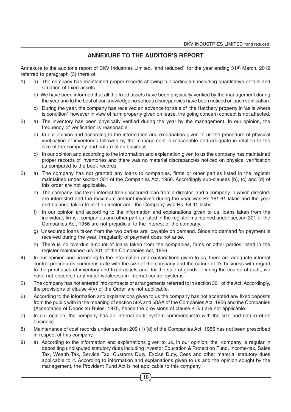# **ANNEXURE TO THE AUDITOR'S REPORT**

Annexure to the auditor's report of BKV Industries Limited, 'and reduced' for the year ending 31st March, 2012 referred to paragraph (3) there of:

- 1) a) The company has maintained proper records showing full particulars including quantitative details and situation of fixed assets.
	- b) We have been informed that all the fixed assets have been physically verified by the management during the year and to the best of our knowledge no serious discrepancies have been noticed on such verification.
	- c) During the year, the company has received an advance for sale of the Hatchery property in 'as is where is condition' however in view of farm property given on lease, the going concern concept is not affected.
- 2) a) The inventory has been physically verified during the year by the management. In our opinion, the frequency of verification is reasonable.
	- b) In our opinion and according to the information and explanation given to us the procedure of physical verification of inventories followed by the management is reasonable and adequate in relation to the size of the company and nature of its business.
	- c) In our opinion and according to the information and explanation given to us the company has maintained proper records of inventories and there was no material discrepancies noticed on physical verification as compared to the book records.
- 3) a) The company has not granted any loans to companies, firms or other parties listed in the register maintained under section 301 of the Companies Act, 1956. Accordingly sub-clauses (b), (c) and (d) of this order are not applicable.
	- e) The company has taken interest free unsecured loan from a director and a company in which directors are interested and the maximum amount involved during the year was Rs.161.61 lakhs and the year end balance taken from the director and the Company was Rs. 54.11 lakhs.
	- f) In our opinion and according to the information and explanations given to us, loans taken from the individual, firms, companies and other parties listed in the register maintained under section 301 of the Companies Act, 1956 are not prejudicial to the interest of the company.
	- g) Unsecured loans taken from the two parties are payable on demand. Since no demand for payment is received during the year, irregularity of payment does not arise.
	- h) There is no overdue amount of loans taken from the companies, firms or other parties listed in the register maintained u/s 301 of the Companies Act, 1956
- 4) In our opinion and according to the information and explanations given to us, there are adequate internal control procedures commensurate with the size of the company and the nature of it's business with regard to the purchases of inventory and fixed assets and for the sale of goods. During the course of audit, we have not observed any major weakness in internal control systems.
- 5) The company has not entered into contracts or arrangements referred to in section 301 of the Act. Accordingly, the provisions of clause 4(v) of the Order are not applicable.
- 6) According to the information and explanations given to us the company has not accepted any fixed deposits from the public with in the meaning of section 58A and 58AA of the Companies Act, 1956 and the Companies (Acceptance of Deposits) Rules, 1975, hence the provisions of clause 4 (vi) are not applicable.
- 7) In our opinion, the company has an internal audit system commensurate with the size and nature of its business.
- 8) Maintenance of cost records under section 209 (1) (d) of the Companies Act, 1956 has not been prescribed in respect of this company.
- 9) a) According to the information and explanations given to us, in our opinion, the company is regular in depositing undisputed statutory dues including Investor Education & Protection Fund, Income-tax, Sales Tax, Wealth Tax, Service Tax, Customs Duty, Excise Duty, Cess and other material statutory dues applicable to it. According to information and explanations given to us and the opinion sought by the management, the Provident Fund Act is not applicable to this company.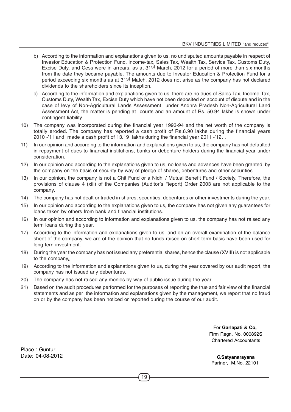- b) According to the information and explanations given to us, no undisputed amounts payable in respect of Investor Education & Protection Fund, Income-tax, Sales Tax, Wealth Tax, Service Tax, Customs Duty, Excise Duty, and Cess were in arrears, as at 31st March, 2012 for a period of more than six months from the date they became payable. The amounts due to Investor Education & Protection Fund for a period exceeding six months as at 31st Match, 2012 does not arise as the company has not declared dividends to the shareholders since its inception.
- c) According to the information and explanations given to us, there are no dues of Sales Tax, Income-Tax, Customs Duty, Wealth Tax, Excise Duty which have not been deposited on account of dispute and in the case of levy of Non-Agricultural Lands Assessment under Andhra Pradesh Non-Agricultural Land Assessment Act, the matter is pending at courts and an amount of Rs. 50.94 lakhs is shown under contingent liability.
- 10) The company was incorporated during the financial year 1993-94 and the net worth of the company is totally eroded. The company has reported a cash profit of Rs.6.90 lakhs during the financial years 2010 -'11 and made a cash profit of 13.19 lakhs during the financial year 2011 -'12**.** .
- 11) In our opinion and according to the information and explanations given to us, the company has not defaulted in repayment of dues to financial institutions, banks or debenture holders during the financial year under consideration.
- 12) In our opinion and according to the explanations given to us, no loans and advances have been granted by the company on the basis of security by way of pledge of shares, debentures and other securities.
- 13) In our opinion, the company is not a Chit Fund or a Nidhi / Mutual Benefit Fund / Society. Therefore, the provisions of clause 4 (xiii) of the Companies (Auditor's Report) Order 2003 are not applicable to the company.
- 14) The company has not dealt or traded in shares, securities, debentures or other investments during the year.
- 15) In our opinion and according to the explanations given to us, the company has not given any guarantees for loans taken by others from bank and financial institutions.
- 16) In our opinion and according to information and explanations given to us, the company has not raised any term loans during the year.
- 17) According to the information and explanations given to us, and on an overall examination of the balance sheet of the company, we are of the opinion that no funds raised on short term basis have been used for long tern investment.
- 18) During the year the company has not issued any preferential shares, hence the clause (XVIII) is not applicable to the company.
- 19) According to the information and explanations given to us, during the year covered by our audit report, the company has not issued any debentures.
- 20) The company has not raised any monies by way of public issue during the year.
- 21) Based on the audit procedures performed for the purposes of reporting the true and fair view of the financial statements and as per the information and explanations given by the management, we report that no fraud on or by the company has been noticed or reported during the course of our audit.

For **Garlapati & Co,** Firm Regn. No. 000892S Chartered Accountants

Place : Guntur Date: 04-08-2012

 **G.Satyanarayana** Partner, M.No. 22101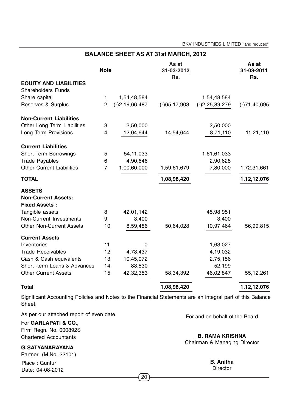BKV INDUSTRIES LIMITED "and reduced"

| <b>BALANCE SHEET AS AT 31st MARCH, 2012</b> |                |                     |                            |                  |                            |
|---------------------------------------------|----------------|---------------------|----------------------------|------------------|----------------------------|
|                                             | <b>Note</b>    |                     | As at<br>31-03-2012<br>Rs. |                  | As at<br>31-03-2011<br>Rs. |
| <b>EQUITY AND LIABILITIES</b>               |                |                     |                            |                  |                            |
| <b>Shareholders Funds</b>                   |                |                     |                            |                  |                            |
| Share capital                               | $\mathbf{1}$   | 1,54,48,584         |                            | 1,54,48,584      |                            |
| Reserves & Surplus                          | $\overline{2}$ | $(-)2, 19, 66, 487$ | $(-)65, 17, 903$           | $(-)2,25,89,279$ | $(-)71,40,695$             |
| <b>Non-Current Liabilities</b>              |                |                     |                            |                  |                            |
| Other Long Term Liabilities                 | 3              | 2,50,000            |                            | 2,50,000         |                            |
| Long Term Provisions                        | 4              | 12,04,644           | 14,54,644                  | 8,71,110         | 11,21,110                  |
| <b>Current Liabilities</b>                  |                |                     |                            |                  |                            |
| <b>Short Term Borrowings</b>                | 5              | 54, 11, 033         |                            | 1,61,61,033      |                            |
| <b>Trade Payables</b>                       | 6              | 4,90,646            |                            | 2,90,628         |                            |
| <b>Other Current Liabilities</b>            | $\overline{7}$ | 1,00,60,000         | 1,59,61,679                | 7,80,000         | 1,72,31,661                |
| <b>TOTAL</b>                                |                |                     | 1,08,98,420                |                  | 1,12,12,076                |
| <b>ASSETS</b>                               |                |                     |                            |                  |                            |
| <b>Non-Current Assets:</b>                  |                |                     |                            |                  |                            |
| <b>Fixed Assets:</b>                        |                |                     |                            |                  |                            |
| Tangible assets                             | 8              | 42,01,142           |                            | 45,98,951        |                            |
| <b>Non-Current Investments</b>              | 9              | 3,400               |                            | 3,400            |                            |
| <b>Other Non-Current Assets</b>             | 10             | 8,59,486            | 50,64,028                  | 10,97,464        | 56,99,815                  |
| <b>Current Assets</b>                       |                |                     |                            |                  |                            |
| Inventories                                 | 11             | 0                   |                            | 1,63,027         |                            |
| <b>Trade Receivables</b>                    | 12             | 4,73,437            |                            | 4,19,032         |                            |
| Cash & Cash equivalents                     | 13             | 10,45,072           |                            | 2,75,156         |                            |
| Short -term Loans & Advances                | 14             | 83,530              |                            | 52,199           |                            |
| <b>Other Current Assets</b>                 | 15             | 42,32,353           | 58,34,392                  | 46,02,847        | 55, 12, 261                |
| <b>Total</b>                                |                |                     | 1,08,98,420                |                  | 1,12,12,076                |

Significant Accounting Policies and Notes to the Financial Statements are an integral part of this Balance Sheet.

As per our attached report of even date

For **GARLAPATI & CO.,** Firm Regn. No. 000892S Chartered Accountants

**G. SATYANARAYANA**

Partner (M.No. 22101) Place : Guntur Date: 04-08-2012

For and on behalf of the Board

**B. RAMA KRISHNA** Chairman & Managing Director

**B. Anitha**

**Director**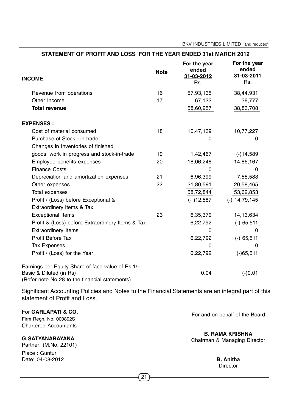BKV INDUSTRIES LIMITED "and reduced"

| <b>INCOME</b>                                                                                                                  | <b>Note</b> | For the year<br>ended<br>31-03-2012<br>Rs. | For the year<br>ended<br>31-03-2011<br>Rs. |
|--------------------------------------------------------------------------------------------------------------------------------|-------------|--------------------------------------------|--------------------------------------------|
| Revenue from operations                                                                                                        | 16          | 57,93,135                                  | 38,44,931                                  |
| Other Income                                                                                                                   | 17          | 67,122                                     | 38,777                                     |
| <b>Total revenue</b>                                                                                                           |             | 58,60,257                                  | 38,83,708                                  |
| <b>EXPENSES:</b>                                                                                                               |             |                                            |                                            |
| Cost of material consumed                                                                                                      | 18          | 10,47,139                                  | 10,77,227                                  |
| Purchase of Stock - in trade                                                                                                   |             | 0                                          | 0                                          |
| Changes in Inventories of finished                                                                                             |             |                                            |                                            |
| goods, work in progress and stock-in-trade                                                                                     | 19          | 1,42,467                                   | $(-)14,589$                                |
| Employee benefits expenses                                                                                                     | 20          | 18,06,248                                  | 14,86,167                                  |
| <b>Finance Costs</b>                                                                                                           |             | O                                          | 0                                          |
| Depreciation and amortization expenses                                                                                         | 21          | 6,96,399                                   | 7,55,583                                   |
| Other expenses                                                                                                                 | 22          | 21,80,591                                  | 20,58,465                                  |
| Total expenses                                                                                                                 |             | 58,72,844                                  | 53,62,853                                  |
| Profit / (Loss) before Exceptional &                                                                                           |             | $(-)12,587$                                | $(-)$ 14,79,145                            |
| Extraordinery Items & Tax                                                                                                      |             |                                            |                                            |
| <b>Exceptional Items</b>                                                                                                       | 23          | 6,35,379                                   | 14,13,634                                  |
| Profit & (Loss) before Extraordinery Items & Tax                                                                               |             | 6,22,792                                   | $(-)$ 65,511                               |
| <b>Extraordinery Items</b>                                                                                                     |             | 0                                          | 0                                          |
| Profit Before Tax                                                                                                              |             | 6,22,792                                   | $(-)$ 65,511                               |
| <b>Tax Expenses</b>                                                                                                            |             | $\Omega$                                   | 0                                          |
| Profit / (Loss) for the Year                                                                                                   |             | 6,22,792                                   | $(-)65,511$                                |
| Earnings per Equity Share of face value of Rs.1/-<br>Basic & Diluted (in Rs)<br>(Refer note No 28 to the financial statements) |             | 0.04                                       | $(-)0.01$                                  |

**STATEMENT OF PROFIT AND LOSS FOR THE YEAR ENDED 31st MARCH 2012**

Significant Accounting Policies and Notes to the Financial Statements are an integral part of this statement of Profit and Loss.

For **GARLAPATI & CO.**

Firm Regn. No. 000892S Chartered Accountants

**G. SATYANARAYANA**

Partner (M.No. 22101)

Place : Guntur Date: 04-08-2012 For and on behalf of the Board

**B. RAMA KRISHNA**

Chairman & Managing Director

**B. Anitha Director**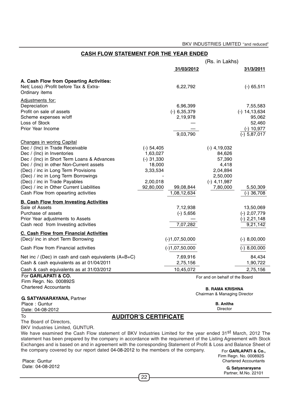#### **CASH FLOW STATEMENT FOR THE YEAR ENDED**

|                                                                                     |                              |                  | (Rs. in Lakhs)                 |                   |
|-------------------------------------------------------------------------------------|------------------------------|------------------|--------------------------------|-------------------|
|                                                                                     |                              | 31/03/2012       |                                | 31/3/2011         |
| A. Cash Flow from Opearting Activities:                                             |                              |                  |                                |                   |
| Net(Loss) /Profit before Tax & Extra-                                               |                              | 6,22,792         |                                | $(-)$ 65,511      |
| Ordinary items                                                                      |                              |                  |                                |                   |
| Adjustments for:                                                                    |                              |                  |                                |                   |
| Depreciation                                                                        |                              | 6,96,399         |                                | 7,55,583          |
| Profit on sale of assets                                                            |                              | $(-)$ 6,35,379   |                                | $(-) 14, 13, 634$ |
| Scheme expenses w/off                                                               |                              | 2,19,978         |                                | 95,062            |
| Loss of Stock                                                                       |                              |                  |                                | 52,460            |
| Prior Year Income                                                                   |                              |                  |                                | $(-) 10,977$      |
|                                                                                     |                              | 9,03,790         |                                | $(-)$ 5,87,017    |
| <b>Changes in woring Capital</b>                                                    |                              |                  |                                |                   |
| Dec / (Inc) in Trade Receivable                                                     | $(-)$ 54,405                 |                  | $(-)$ 4,19,032                 |                   |
| Dec / (Inc) in Inventories                                                          | 1,63,027                     |                  | 84,626                         |                   |
| Dec / (Inc) in Short Term Loans & Advances                                          | $(-)$ 31,330                 |                  | 57,390                         |                   |
| Dec / (Inc) in other Non-Current assets                                             | 18,000                       |                  | 4,418                          |                   |
| (Dec) / inc in Long Term Provisions                                                 | 3,33,534                     |                  | 2,04,894                       |                   |
| (Dec) / inc in Long Term Borrowings                                                 |                              |                  | 2,50,000                       |                   |
| (Dec) / inc in Trade Payables                                                       | 2,00,018                     |                  | $(-)$ 4,11,987                 |                   |
| (Dec) / inc in Other Current Liabilities                                            | 92,80,000                    | 99,08,844        | 7,80,000                       | 5,50,309          |
| Cash Flow from opearting activities                                                 |                              | 1,08,12,634      |                                | $(-)$ 36,708      |
| <b>B. Cash Flow from Investing Activities</b>                                       |                              |                  |                                |                   |
| Sale of Assets                                                                      |                              | 7,12,938         |                                | 13,50,069         |
| Purchase of assets                                                                  |                              | $(-)$ 5,656      |                                | $(-)$ 2,07,779    |
| Prior Year adjustments to Assets                                                    |                              |                  |                                | (-) 2,21,148      |
| Cash recd from Investing activities                                                 |                              | 7,07,282         |                                | 9,21,142          |
|                                                                                     |                              |                  |                                |                   |
| <b>C. Cash Flow from Financial Activities</b><br>(Dec)/ inc in short Term Borrowing |                              | $(-)1,07,50,000$ |                                | $(-)$ 8,00,000    |
|                                                                                     |                              |                  |                                |                   |
| Cash Flow from Financial activities                                                 |                              | $(-)1,07,50,000$ |                                | $(-) 8,00,000$    |
| Net inc / (Dec) in cash and cash equivalents (A+B+C)                                |                              | 7,69,916         |                                | 84,434            |
| Cash & cash equivalents as at 01/04/2011                                            |                              | 2,75,156         |                                | 1,90,722          |
| Cash & cash equivalents as at 31/03/2012                                            |                              | 10,45,072        |                                | 2,75,156          |
| For GARLAPATI & CO.                                                                 |                              |                  | For and on behalf of the Board |                   |
| Firm Regn. No. 000892S                                                              |                              |                  |                                |                   |
| <b>Chartered Accountants</b>                                                        |                              |                  | <b>B. RAMA KRISHNA</b>         |                   |
|                                                                                     |                              |                  | Chairman & Managing Director   |                   |
| <b>G. SATYANARAYANA, Partner</b>                                                    |                              |                  |                                |                   |
| Place: Guntur                                                                       |                              |                  | <b>B.</b> Anitha<br>Director   |                   |
| Date: 04-08-2012                                                                    |                              |                  |                                |                   |
| To                                                                                  | <b>AUDITOR'S CERTIFICATE</b> |                  |                                |                   |

#### To

#### The Board of Directors,

BKV Industries Limited, GUNTUR.

We have examined the Cash Flow statement of BKV Industries Limited for the year ended 31st March, 2012 The statement has been prepared by the company in accordance with the requirement of the Listing Agreement with Stock Exchanges and is based on and in agreement with the corresponding Statement of Profit & Loss and Balance Sheet of the company covered by our report dated 04-08-2012 to the members of the company. For **GARLAPATI & Co.**,

Place: Guntur Date: 04-08-2012  Firm Regn. No. 000892S Chartered Accountants

> **G. Satyanarayana** Partner, M.No. 22101

22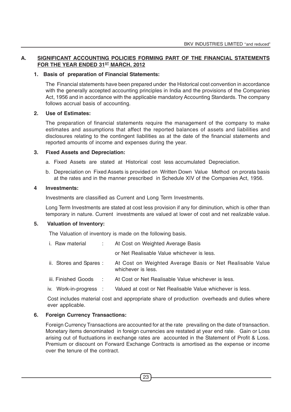#### **A. SIGNIFICANT ACCOUNTING POLICIES FORMING PART OF THE FINANCIAL STATEMENTS** FOR THE YEAR ENDED 31<sup>ST</sup> MARCH, 2012

#### **1. Basis of preparation of Financial Statements:**

The Financial statements have been prepared under the Historical cost convention in accordance with the generally accepted accounting principles in India and the provisions of the Companies Act, 1956 and in accordance with the applicable mandatory Accounting Standards. The company follows accrual basis of accounting.

#### **2. Use of Estimates:**

The preparation of financial statements require the management of the company to make estimates and assumptions that affect the reported balances of assets and liabilities and disclosures relating to the contingent liabilities as at the date of the financial statements and reported amounts of income and expenses during the year.

#### **3. Fixed Assets and Depreciation:**

- a. Fixed Assets are stated at Historical cost less accumulated Depreciation.
- b. Depreciation on Fixed Assets is provided on Written Down Value Method on prorata basis at the rates and in the manner prescribed in Schedule XIV of the Companies Act, 1956.

#### **4 Investments:**

Investments are classified as Current and Long Term Investments.

Long Term Investments are stated at cost less provision if any for diminution, which is other than temporary in nature. Current investments are valued at lower of cost and net realizable value.

#### **5. Valuation of Inventory:**

The Valuation of inventory is made on the following basis.

| i. Raw material :       | At Cost on Weighted Average Basis                                               |
|-------------------------|---------------------------------------------------------------------------------|
|                         | or Net Realisable Value whichever is less.                                      |
| ii. Stores and Spares : | At Cost on Weighted Average Basis or Net Realisable Value<br>whichever is less. |
| iii. Finished Goods :   | At Cost or Net Realisable Value whichever is less.                              |
| iv. Work-in-progress :  | Valued at cost or Net Realisable Value whichever is less.                       |

Cost includes material cost and appropriate share of production overheads and duties where ever applicable.

#### **6. Foreign Currency Transactions:**

Foreign Currency Transactions are accounted for at the rate prevailing on the date of transaction. Monetary items denominated in foreign currencies are restated at year end rate. Gain or Loss arising out of fluctuations in exchange rates are accounted in the Statement of Profit & Loss. Premium or discount on Forward Exchange Contracts is amortised as the expense or income over the tenure of the contract.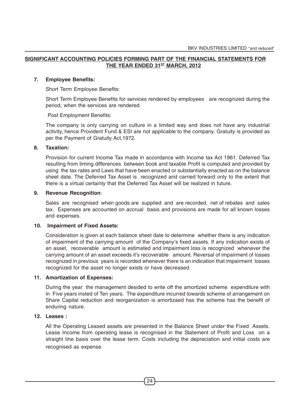#### **SIGNIFICANT ACCOUNTING POLICIES FORMING PART OF THE FINANCIAL STATEMENTS FOR** THE YEAR ENDED 31<sup>ST</sup> MARCH, 2012

#### **7. Employee Benefits:**

Short Term Employee Benefits:

Short Term Employee Benefits for services rendered by employees are recognized during the period, when the services are rendered.

Post Employment Benefits:

The company is only carrying on culture in a limited way and does not have any industrial activity, hence Provident Fund & ESI are not applicable to the company. Gratuity is provided as per the Payment of Gratuity Act,1972.

#### **8. Taxation:**

Provision for current Income Tax made in accordance with Income tax Act 1961. Deferred Tax resulting from timing differences between book and taxable Profit is computed and provided by using the tax rates and Laws that have been enacted or substantially enacted as on the balance sheet date. The Deferred Tax Asset is recognized and carried forward only to the extent that there is a virtual certainty that the Deferred Tax Asset will be realized in future.

#### **9. Revenue Recognition**:

Sales are recognised when goods are supplied and are recorded, net of rebates and sales tax. Expenses are accounted on accrual basis and provisions are made for all known losses and expenses.

#### **10. Impairment of Fixed Assets:**

Consideration is given at each balance sheet date to determine whether there is any indication of impairment of the carrying amount of the Company's fixed assets. If any indication exists of an asset, recoverable amount is estimated and impairment loss is recognized whenever the carrying amount of an asset exceeds it's recoverable amount. Reversal of impairment of losses recognized in previous years is recorded whenever there is an indication that impairment losses recognized for the asset no longer exists or have decreased.

#### **11. Amortization of Expenses:**

During the year the management desided to write off the amortized scheme expenditure with in Five years insted of Ten years. The expenditure incurred towards scheme of arrangement on Share Capital reduction and reorganization is amortizaed has the scheme has the benefit of enduring nature.

#### **12. Leases :**

All the Operating Leased assets are presented in the Balance Sheet under the Fixed Assets. Lease Income from operating lease is recognised in the Statement of Profit and Loss on a straight line basis over the lease term. Costs including the depreciation and initial costs are recognised as expense.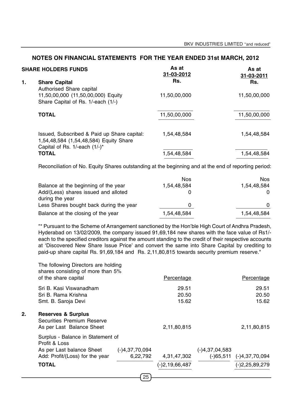| <b>SHARE HOLDERS FUNDS</b> |                                                                                                                        | As at<br>31-03-2012 | As at<br>31-03-2011 |
|----------------------------|------------------------------------------------------------------------------------------------------------------------|---------------------|---------------------|
| 1.                         | <b>Share Capital</b><br>Authorised Share capital                                                                       | Rs.                 | Rs.                 |
|                            | 11,50,00,000 (11,50,00,000) Equity<br>Share Capital of Rs. 1/-each (1/-)                                               | 11,50,00,000        | 11,50,00,000        |
|                            | <b>TOTAL</b>                                                                                                           | 11,50,00,000        | 11,50,00,000        |
|                            | Issued, Subscribed & Paid up Share capital:<br>1,54,48,584 (1,54,48,584) Equity Share<br>Capital of Rs. 1/-each (1/-)* | 1,54,48,584         | 1,54,48,584         |
|                            | <b>TOTAL</b>                                                                                                           | 1,54,48,584         | 1,54,48,584         |

Reconciliation of No. Equity Shares outstanding at the beginning and at the end of reporting period:

|                                         | <b>Nos</b>  | Nos.        |
|-----------------------------------------|-------------|-------------|
| Balance at the beginning of the year    | 1,54,48,584 | 1,54,48,584 |
| Add/(Less) shares issued and alloted    |             | 0           |
| during the year                         |             |             |
| Less Shares bought back during the year |             | 0           |
| Balance at the closing of the year      | 1,54,48,584 | 1,54,48,584 |

"\* Pursuant to the Scheme of Arrangement sanctioned by the Hon'ble High Court of Andhra Pradesh, Hyderabad on 13/02/2009, the company issued 91,69,184 new shares with the face value of Rs1/ each to the specified creditors against the amount standing to the credit of their respective accounts at 'Discovered New Share Issue Price' and convert the same into Share Capital by crediting to paid-up share capital Rs. 91,69,184 and Rs. 2,11,80,815 towards security premium reserve."

|    | As per Last balance Sheet<br>Add: Profit/(Loss) for the year<br><b>TOTAL</b>                     | $(-)4,37,70,094$<br>6,22,792 | 4,31,47,302<br>$(-)2, 19, 66, 487$ | $(-)4,37,04,583$ | $(-)65,511$ $(-)4,37,70,094$<br>$(-)2,25,89,279$ |
|----|--------------------------------------------------------------------------------------------------|------------------------------|------------------------------------|------------------|--------------------------------------------------|
|    | Surplus - Balance in Statement of<br>Profit & Loss                                               |                              |                                    |                  |                                                  |
| 2. | <b>Reserves &amp; Surplus</b><br><b>Securities Premium Reserve</b><br>As per Last Balance Sheet  |                              | 2,11,80,815                        |                  | 2,11,80,815                                      |
|    | Sri B. Kasi Viswanadham<br>Sri B. Rama Krishna<br>Smt. B. Saroja Devi                            |                              | 29.51<br>20.50<br>15.62            |                  | 29.51<br>20.50<br>15.62                          |
|    | The following Directors are holding<br>shares consisting of more than 5%<br>of the share capital |                              | Percentage                         |                  | Percentage                                       |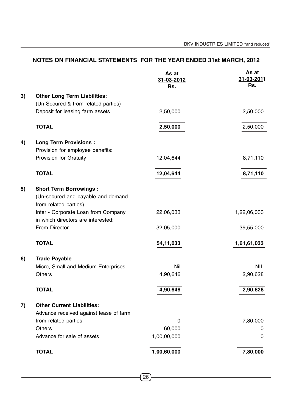|    |                                                                                              | As at<br>31-03-2012<br>Rs. | As at<br>31-03-2011<br>Rs. |
|----|----------------------------------------------------------------------------------------------|----------------------------|----------------------------|
| 3) | <b>Other Long Term Liabilities:</b>                                                          |                            |                            |
|    | (Un Secured & from related parties)                                                          |                            |                            |
|    | Deposit for leasing farm assets                                                              | 2,50,000                   | 2,50,000                   |
|    | <b>TOTAL</b>                                                                                 | 2,50,000                   | 2,50,000                   |
| 4) | <b>Long Term Provisions:</b>                                                                 |                            |                            |
|    | Provision for employee benefits:                                                             |                            |                            |
|    | Provision for Gratuity                                                                       | 12,04,644                  | 8,71,110                   |
|    | <b>TOTAL</b>                                                                                 | 12,04,644                  | 8,71,110                   |
| 5) | <b>Short Term Borrowings:</b><br>(Un-secured and payable and demand<br>from related parties) |                            |                            |
|    | Inter - Corporate Loan from Company<br>in which directors are interested:                    | 22,06,033                  | 1,22,06,033                |
|    | From Director                                                                                | 32,05,000                  | 39,55,000                  |
|    | <b>TOTAL</b>                                                                                 | 54,11,033                  | 1,61,61,033                |
| 6) | <b>Trade Payable</b>                                                                         |                            |                            |
|    | Micro, Small and Medium Enterprises                                                          | Nil                        | <b>NIL</b>                 |
|    | <b>Others</b>                                                                                | 4,90,646                   | 2,90,628                   |
|    | <b>TOTAL</b>                                                                                 | 4,90,646                   | 2,90,628                   |
| 7) | <b>Other Current Liabilities:</b>                                                            |                            |                            |
|    | Advance received against lease of farm                                                       |                            |                            |
|    | from related parties                                                                         | $\mathbf 0$                | 7,80,000                   |
|    | Others                                                                                       | 60,000                     | 0                          |
|    | Advance for sale of assets                                                                   | 1,00,00,000                | 0                          |
|    | <b>TOTAL</b>                                                                                 | 1,00,60,000                | 7,80,000                   |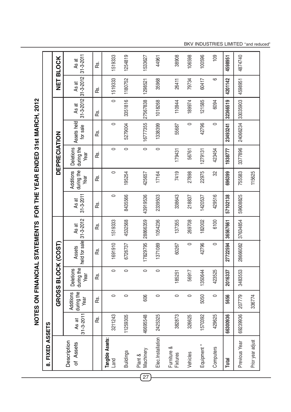NOTES ON FINANCIAL STATEMENTS FOR THE YEAR ENDED 31st MARCH, 2012 **NOTES ON FINANCIAL STATEMENTS FOR THE YEAR ENDED 31st MARCH, 2012**

|    | FIXED ASSETS<br>ထံ             |                          |                                        |                                        |                         |                          |                          |                                 |                                        |                         |                          |                          |                          |
|----|--------------------------------|--------------------------|----------------------------------------|----------------------------------------|-------------------------|--------------------------|--------------------------|---------------------------------|----------------------------------------|-------------------------|--------------------------|--------------------------|--------------------------|
|    |                                |                          |                                        | <b>GROSS BLOC</b>                      | K (COST)                |                          |                          |                                 | DEPRECIATION                           |                         |                          | トロ                       | <b>BLOCK</b>             |
|    | Description<br>of Assets       | $31 - 3 - 2011$<br>As at | during the<br><b>Additions</b><br>Year | <b>Deletions</b><br>during the<br>Year | held for sale<br>Assets | $31 - 3 - 2012$<br>As at | $31 - 3 - 2011$<br>As at | during the<br>Additions<br>Year | during the<br><b>Deletions</b><br>Year | Assets held<br>for sale | $31 - 3 - 2012$<br>As at | $31 - 3 - 2012$<br>As at | $31 - 3 - 2011$<br>As at |
|    |                                | œ.                       | Rs.                                    | κs.                                    | ൙                       | ൙                        | ൙                        | <u>്</u>                        | κ.<br>Ε                                | ൙                       | ൙                        | ൙                        | ൙                        |
|    | Tangible Assets:<br>Land       | 3211243                  | 0                                      | $\circ$                                | 1691910                 | 1519333                  | $\circ$                  | $\circ$                         | $\circ$                                | 0                       | $\circ$                  | 1519333                  | 1519333                  |
|    | <b>Buildings</b>               | 11259305                 | $\circ$                                | $\circ$                                | 6726737                 | 4532568                  | 8435566                  | 195254                          | $\circ$                                | 5279004                 | 3351816                  | 1180752                  | 1254819                  |
| 27 | Machinery<br>Plant &           | 46695548                 | 606                                    | $\circ$                                | 17829795                | 28866359                 | 43919536                 | 425657                          | $\circ$                                | 16777355                | 27567838                 | 1298521                  | 1533627                  |
|    | Elec.Installation              | 2425325                  | $\circ$                                | $\circ$                                | 1371089                 | 1054236                  | 2339503                  | 17164                           | $\circ$                                | 1338399                 | 1018268                  | 35968                    | 44961                    |
|    | Furniture &<br><b>Fixtures</b> | 382873                   | $\circ$                                | 185251                                 | 60267                   | 137355                   | 338643                   | 7419                            | 179431                                 | 55687                   | 110944                   | 26411                    | 38908                    |
|    | Vehicles                       | 326625                   | $\circ$                                | 56917                                  | $\circ$                 | 269708                   | 218837                   | 27898                           | 56761                                  | $\circ$                 | 189974                   | 79734                    | 106598                   |
|    | Equipment *                    | 1570392                  | 5050                                   | 1350644                                | 42796                   | 182002                   | 1420537                  | 22975                           | 1279131                                | 42796                   | 121585                   | 60417                    | 100596                   |
|    | Computers                      | 429625                   | $\circ$                                | 423525                                 | $\circ$                 | 6100                     | 429516                   | S <sub>2</sub>                  | 423454                                 | $\circ$                 | 6094                     | ဖ                        | 109                      |
|    | <b>Total</b>                   | 66300936                 | 5656                                   | 2016337                                | 27722594                | 36567661                 | 57102138                 | 696399                          | 1938777                                | 23493241                | 32366519                 | 4201142                  | 4598951                  |
|    | Previous Year                  | 69239936                 | 207779                                 | 3483553                                | 28666082                | 37634854                 | 59608825                 | 755583                          | 3377896                                | 24066234                | 33035903                 | 4598951                  | 4874740                  |
|    | Prior year adjust              |                          | 336774                                 |                                        |                         |                          |                          | 115625                          |                                        |                         |                          |                          |                          |

BKV INDUSTRIES LIMITED "and reduced"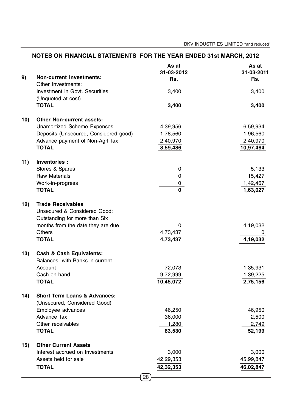|     |                                                                         | NOTES ON FINANCIAL STATEMENTS FOR THE YEAR ENDED 31st MARCH, 2012 |                            |  |
|-----|-------------------------------------------------------------------------|-------------------------------------------------------------------|----------------------------|--|
| 9)  | <b>Non-current Investments:</b><br>Other Investments:                   | As at<br>31-03-2012<br>Rs.                                        | As at<br>31-03-2011<br>Rs. |  |
|     | Investment in Govt. Securities<br>(Unquoted at cost)                    | 3,400                                                             | 3,400                      |  |
|     | <b>TOTAL</b>                                                            | 3,400                                                             | 3,400                      |  |
| 10) | <b>Other Non-current assets:</b>                                        |                                                                   |                            |  |
|     | <b>Unamortized Scheme Expenses</b>                                      | 4,39,956                                                          | 6,59,934                   |  |
|     | Deposits (Unsecured, Considered good)                                   | 1,78,560                                                          | 1,96,560                   |  |
|     | Advance payment of Non-Agrl. Tax                                        | 2,40,970                                                          | 2,40,970                   |  |
|     | <b>TOTAL</b>                                                            | 8,59,486                                                          | 10,97,464                  |  |
| 11) | Inventories :                                                           |                                                                   |                            |  |
|     | Stores & Spares                                                         | 0                                                                 | 5,133                      |  |
|     | <b>Raw Materials</b>                                                    | 0                                                                 | 15,427                     |  |
|     | Work-in-progress                                                        | 0                                                                 | 1,42,467                   |  |
|     | <b>TOTAL</b>                                                            | $\mathbf{0}$                                                      | 1,63,027                   |  |
| 12) | <b>Trade Receivables</b><br><b>Unsecured &amp; Considered Good:</b>     |                                                                   |                            |  |
|     | Outstanding for more than Six                                           |                                                                   |                            |  |
|     | months from the date they are due                                       | 0                                                                 | 4,19,032                   |  |
|     | <b>Others</b>                                                           | 4,73,437                                                          |                            |  |
|     | <b>TOTAL</b>                                                            | 4,73,437                                                          | 4,19,032                   |  |
| 13) | <b>Cash &amp; Cash Equivalents:</b><br>Balances with Banks in current   |                                                                   |                            |  |
|     | Account                                                                 | 72,073                                                            | 1,35,931                   |  |
|     | Cash on hand                                                            | 9,72,999                                                          | 1,39,225                   |  |
|     | <b>TOTAL</b>                                                            | 10,45,072                                                         | 2,75,156                   |  |
| 14) | <b>Short Term Loans &amp; Advances:</b><br>(Unsecured, Considered Good) |                                                                   |                            |  |
|     | Employee advances                                                       | 46,250                                                            | 46,950                     |  |
|     | <b>Advance Tax</b>                                                      | 36,000                                                            | 2,500                      |  |
|     | Other receivables                                                       | 1,280                                                             | 2,749                      |  |
|     | <b>TOTAL</b>                                                            | 83,530                                                            | 52,199                     |  |
| 15) | <b>Other Current Assets</b>                                             |                                                                   |                            |  |
|     | Interest accrued on Investments                                         | 3,000                                                             | 3,000                      |  |
|     | Assets held for sale                                                    | 42,29,353                                                         | 45,99,847                  |  |
|     | <b>TOTAL</b>                                                            | 42,32,353                                                         | 46,02,847                  |  |
|     |                                                                         | 28                                                                |                            |  |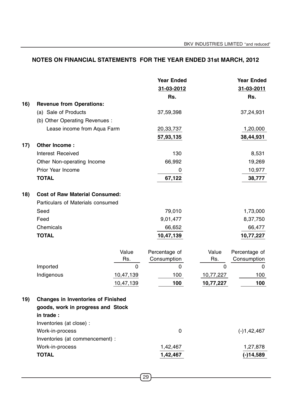|     |                                           |           | <b>Year Ended</b> |             | <b>Year Ended</b> |
|-----|-------------------------------------------|-----------|-------------------|-------------|-------------------|
|     |                                           |           | 31-03-2012        |             | 31-03-2011        |
|     |                                           |           | Rs.               |             | Rs.               |
| 16) | <b>Revenue from Operations:</b>           |           |                   |             |                   |
|     | (a) Sale of Products                      |           | 37,59,398         |             | 37,24,931         |
|     | (b) Other Operating Revenues :            |           |                   |             |                   |
|     | Lease income from Aqua Farm               |           | 20,33,737         |             | 1,20,000          |
|     |                                           |           | 57,93,135         |             | 38,44,931         |
| 17) | Other Income:                             |           |                   |             |                   |
|     | Interest Received                         |           | 130               |             | 8,531             |
|     | Other Non-operating Income                |           | 66,992            |             | 19,269            |
|     | Prior Year Income                         |           | 0                 |             | 10,977            |
|     | <b>TOTAL</b>                              |           | 67,122            |             | 38,777            |
| 18) | <b>Cost of Raw Material Consumed:</b>     |           |                   |             |                   |
|     | Particulars of Materials consumed         |           |                   |             |                   |
|     | Seed                                      |           | 79,010            |             | 1,73,000          |
|     | Feed                                      |           | 9,01,477          |             | 8,37,750          |
|     | Chemicals                                 |           | 66,652            |             | 66,477            |
|     | <b>TOTAL</b>                              |           | 10,47,139         |             | 10,77,227         |
|     |                                           | Value     | Percentage of     | Value       | Percentage of     |
|     |                                           | Rs.       | Consumption       | Rs.         | Consumption       |
|     | Imported                                  | $\Omega$  | $\mathbf 0$       | $\mathbf 0$ | $\mathbf 0$       |
|     | Indigenous                                | 10,47,139 | 100               | 10,77,227   | 100               |
|     |                                           | 10,47,139 | 100               | 10,77,227   | 100               |
| 19) | <b>Changes in Inventories of Finished</b> |           |                   |             |                   |
|     | goods, work in progress and Stock         |           |                   |             |                   |
|     | in trade:                                 |           |                   |             |                   |
|     | Inventories (at close) :                  |           |                   |             |                   |
|     | Work-in-process                           |           | $\mathbf 0$       |             | $(-)1,42,467$     |
|     | Inventories (at commencement) :           |           |                   |             |                   |
|     | Work-in-process                           |           | 1,42,467          |             | 1,27,878          |
|     | <b>TOTAL</b>                              |           | 1,42,467          |             | $(-)14,589$       |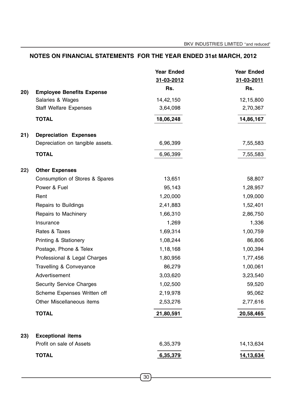|     |                                                      | <b>Year Ended</b> | <b>Year Ended</b> |
|-----|------------------------------------------------------|-------------------|-------------------|
|     |                                                      | 31-03-2012        | 31-03-2011        |
| 20) | <b>Employee Benefits Expense</b>                     | Rs.               | Rs.               |
|     | Salaries & Wages                                     | 14,42,150         | 12,15,800         |
|     | <b>Staff Welfare Expenses</b>                        | 3,64,098          | 2,70,367          |
|     | <b>TOTAL</b>                                         | 18,06,248         | 14,86,167         |
| 21) | <b>Depreciation Expenses</b>                         |                   |                   |
|     | Depreciation on tangible assets.                     | 6,96,399          | 7,55,583          |
|     | <b>TOTAL</b>                                         | 6,96,399          | 7,55,583          |
| 22) | <b>Other Expenses</b>                                |                   |                   |
|     | Consumption of Stores & Spares                       | 13,651            | 58,807            |
|     | Power & Fuel                                         | 95,143            | 1,28,957          |
|     | Rent                                                 | 1,20,000          | 1,09,000          |
|     | Repairs to Buildings                                 | 2,41,883          | 1,52,401          |
|     | Repairs to Machinery                                 | 1,66,310          | 2,86,750          |
|     | Insurance                                            | 1,269             | 1,336             |
|     | Rates & Taxes                                        | 1,69,314          | 1,00,759          |
|     | <b>Printing &amp; Stationery</b>                     | 1,08,244          | 86,806            |
|     | Postage, Phone & Telex                               | 1,18,168          | 1,00,394          |
|     | Professional & Legal Charges                         | 1,80,956          | 1,77,456          |
|     | Travelling & Conveyance                              | 86,279            | 1,00,061          |
|     | Advertisement                                        | 3,03,620          | 3,23,540          |
|     | <b>Security Service Charges</b>                      | 1,02,500          | 59,520            |
|     | Scheme Expenses Written off                          | 2,19,978          | 95,062            |
|     | Other Miscellaneous items                            | 2,53,276          | 2,77,616          |
|     | <b>TOTAL</b>                                         | 21,80,591         | 20,58,465         |
|     |                                                      |                   |                   |
| 23) | <b>Exceptional items</b><br>Profit on sale of Assets | 6,35,379          | 14,13,634         |
|     |                                                      |                   |                   |
|     | <b>TOTAL</b>                                         | 6,35,379          | 14,13,634         |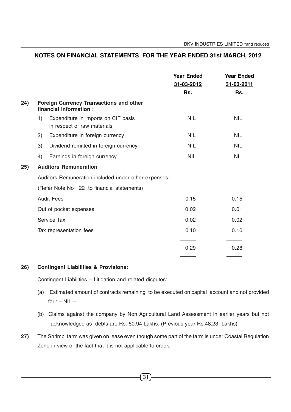|     |    |                                                                    | <b>Year Ended</b><br>31-03-2012<br>Rs. | <b>Year Ended</b><br>31-03-2011<br>Rs. |
|-----|----|--------------------------------------------------------------------|----------------------------------------|----------------------------------------|
| 24) |    | Foreign Currency Transactions and other<br>financial information:  |                                        |                                        |
|     | 1) | Expenditure in imports on CIF basis<br>in respect of raw materials | <b>NIL</b>                             | <b>NIL</b>                             |
|     | 2) | Expenditure in foreign currency                                    | <b>NIL</b>                             | <b>NIL</b>                             |
|     | 3) | Dividend remitted in foreign currency                              | <b>NIL</b>                             | <b>NIL</b>                             |
|     | 4) | Earnings in foreign currency                                       | <b>NIL</b>                             | <b>NIL</b>                             |
| 25) |    | <b>Auditors Remuneration:</b>                                      |                                        |                                        |
|     |    | Auditors Remuneration included under other expenses :              |                                        |                                        |
|     |    | (Refer Note No 22 to financial statements)                         |                                        |                                        |
|     |    | <b>Audit Fees</b>                                                  | 0.15                                   | 0.15                                   |
|     |    | Out of pocket expenses                                             | 0.02                                   | 0.01                                   |
|     |    | Service Tax                                                        | 0.02                                   | 0.02                                   |
|     |    | Tax representation fees                                            | 0.10                                   | 0.10                                   |
|     |    |                                                                    |                                        |                                        |
|     |    |                                                                    | 0.29                                   | 0.28                                   |
|     |    |                                                                    |                                        |                                        |

#### **26) Contingent Liabilities & Provisions:**

Contingent Liabilities – Litigation and related disputes:

- (a) Estimated amount of contracts remaining to be executed on capital account and not provided for  $: -$  NIL  $-$
- (b) Claims against the company by Non Agricultural Land Assessment in earlier years but not acknowledged as debts are Rs. 50.94 Lakhs. (Previous year Rs.48.23 Lakhs)
- **27)** The Shrimp farm was given on lease even though some part of the farm is under Coastal Regulation Zone in view of the fact that it is not applicable to creek.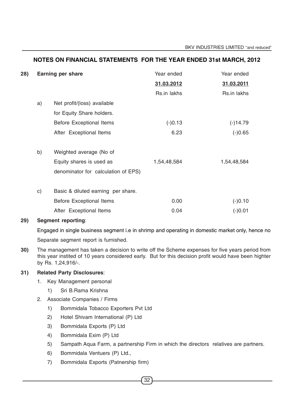| 28) | <b>Earning per share</b> |                                     | Year ended  | Year ended  |
|-----|--------------------------|-------------------------------------|-------------|-------------|
|     |                          |                                     | 31.03.2012  | 31.03.2011  |
|     |                          |                                     | Rs.in lakhs | Rs.in lakhs |
|     | a)                       | Net profit/(loss) available         |             |             |
|     |                          | for Equity Share holders.           |             |             |
|     |                          | <b>Before Exceptional Items</b>     | $(-)0.13$   | $(-)14.79$  |
|     |                          | After Exceptional Items             | 6.23        | $(-)0.65$   |
|     |                          |                                     |             |             |
|     | b)                       | Weighted average (No of             |             |             |
|     |                          | Equity shares is used as            | 1,54,48,584 | 1,54,48,584 |
|     |                          | denominator for calculation of EPS) |             |             |
|     |                          |                                     |             |             |
|     | $\mathsf{c})$            | Basic & diluted earning per share.  |             |             |
|     |                          | <b>Before Exceptional Items</b>     | 0.00        | $(-)0.10$   |
|     |                          | After Exceptional Items             | 0.04        | $(-)0.01$   |
|     |                          |                                     |             |             |

#### **29) Segment reporting**:

Engaged in single business segment i.e in shrimp and operating in domestic market only, hence no

Separate segment report is furnished.

**30)** The management has taken a decision to write off the Scheme expenses for five years period from this year instited of 10 years considered early. But for this decision profit would have been highter by Rs. 1,24,916/-.

#### **31) Related Party Disclosures**:

- 1. Key Management personal
	- 1) Sri B.Rama Krishna
- 2. Associate Companies / Firms
	- 1) Bommidala Tobacco Exporters Pvt Ltd
	- 2) Hotel Shivam International (P) Ltd
	- 3) Bommidala Exports (P) Ltd
	- 4) Bommidala Exim (P) Ltd
	- 5) Sampath Aqua Farm, a partnership Firm in which the directors relatives are partners.
	- 6) Bommidala Ventuers (P) Ltd.,
	- 7) Bommidala Exports (Patnership firm)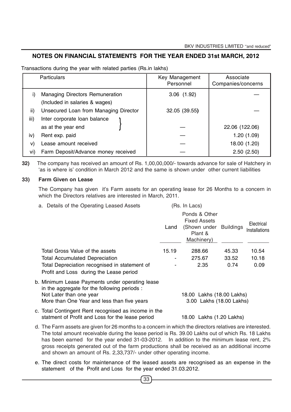Transactions during the year with related parties (Rs.in lakhs)

|      | <b>Particulars</b>                                                       | Key Management<br>Personnel | Associate<br>Companies/concerns |
|------|--------------------------------------------------------------------------|-----------------------------|---------------------------------|
| i)   | <b>Managing Directors Remuneration</b><br>(Included in salaries & wages) | 3.06(1.92)                  |                                 |
|      |                                                                          |                             |                                 |
| ii)  | Unsecured Loan from Managing Director                                    | 32.05 (39.55)               |                                 |
| iii) | Inter corporate loan balance                                             |                             |                                 |
|      | as at the year end                                                       |                             | 22.06 (122.06)                  |
| iv)  | Rent exp. paid                                                           |                             | 1.20(1.09)                      |
| V)   | Lease amount received                                                    |                             | 18.00 (1.20)                    |
| VÌ)  | Farm Deposit/Advance money received                                      |                             | 2.50(2.50)                      |

**32)** The company has received an amount of Rs. 1,00,00,000/- towards advance for sale of Hatchery in 'as is where is' condition in March 2012 and the same is shown under other current liabilities

#### **33) Farm Given on Lease**

The Company has given it's Farm assets for an operating lease for 26 Months to a concern in which the Directors relatives are interested in March, 2011.

a. Details of the Operating Leased Assets (Rs. In Lacs)

|                                                                                          | Land  | Ponds & Other<br><b>Fixed Assets</b><br>(Shown under Buildings<br>Plant &<br>Machinery) |       | Electrical<br>Installations |
|------------------------------------------------------------------------------------------|-------|-----------------------------------------------------------------------------------------|-------|-----------------------------|
| Total Gross Value of the assets                                                          | 15.19 | 288.66                                                                                  | 45.33 | 10.54                       |
| <b>Total Accumulated Depreciation</b>                                                    |       | 275.67                                                                                  | 33.52 | 10.18                       |
| Total Depreciation recognised in statement of<br>Profit and Loss during the Lease period | -     | 2.35                                                                                    | 0.74  | 0.09                        |
|                                                                                          |       |                                                                                         |       |                             |

- b. Minimum Lease Payments under operating lease in the aggregate for the following periods : Not Later than one year 18.00 Lakhs (18.00 Lakhs) More than One Year and less than five years 3.00 Lakhs (18.00 Lakhs) c. Total Contingent Rent recognised as income in the
- statment of Profit and Loss for the lease period 18.00 Lakhs (1.20 Lakhs) d. The Farm assets are given for 26 months to a concern in which the directors relatives are interested. The total amount receivable during the lease period is Rs. 39.00 Lakhs out of which Rs. 18 Lakhs has been earned for the year ended 31-03-2012. In addition to the minimum lease rent, 2% gross receipts generated out of the farm productions shall be received as an additional income and shown an amount of Rs. 2,33,737/- under other operating income.
- e. The direct costs for maintenance of the leased assets are recognised as an expense in the statement of the Profit and Loss for the year ended 31.03.2012.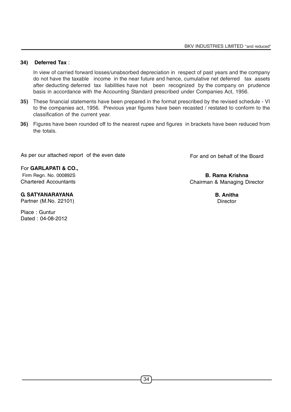#### **34) Deferred Tax** :

In view of carried forward losses/unabsorbed depreciation in respect of past years and the company do not have the taxable income in the near future and hence, cumulative net deferred tax assets after deducting deferred tax liabilities have not been recognized by the company on prudence basis in accordance with the Accounting Standard prescribed under Companies Act, 1956.

- **35)** These financial statements have been prepared in the format prescribed by the revised schedule VI to the companies act, 1956. Previous year figures have been recasted / restated to conform to the classification of the current year.
- **36)** Figures have been rounded off to the nearest rupee and figures in brackets have been reduced from the totals.

As per our attached report of the even date

For **GARLAPATI & CO.,** Firm Regn. No. 000892S Chartered Accountants

**G. SATYANARAYANA**

Partner (M.No. 22101)

Place : Guntur Dated : 04-08-2012 For and on behalf of the Board

**B. Rama Krishna** Chairman & Managing Director

> **B. Anitha Director**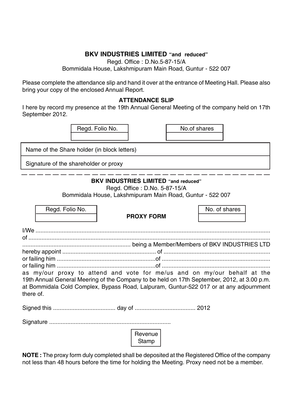# **BKV INDUSTRIES LIMITED "and reduced"**

Regd. Office : D.No.5-87-15/A Bommidala House, Lakshmipuram Main Road, Guntur - 522 007

Please complete the attendance slip and hand it over at the entrance of Meeting Hall. Please also bring your copy of the enclosed Annual Report.

## **ATTENDANCE SLIP**

I here by record my presence at the 19th Annual General Meeting of the company held on 17th September 2012.

| Regd. Folio No. | No.of shares |
|-----------------|--------------|
|                 |              |

Name of the Share holder (in block letters)

Signature of the shareholder or proxy

# **BKV INDUSTRIES LIMITED "and reduced"**

Regd. Office : D.No. 5-87-15/A

Bommidala House, Lakshmipuram Main Road, Guntur - 522 007

| Regd. Folio No.                                                                                                                                                                                                                                                                | <b>PROXY FORM</b> | No. of shares |
|--------------------------------------------------------------------------------------------------------------------------------------------------------------------------------------------------------------------------------------------------------------------------------|-------------------|---------------|
|                                                                                                                                                                                                                                                                                |                   |               |
|                                                                                                                                                                                                                                                                                |                   |               |
|                                                                                                                                                                                                                                                                                |                   |               |
|                                                                                                                                                                                                                                                                                |                   |               |
|                                                                                                                                                                                                                                                                                |                   |               |
|                                                                                                                                                                                                                                                                                |                   |               |
| as my/our proxy to attend and vote for me/us and on my/our behalf at the<br>19th Annual General Meering of the Company to be held on 17th September, 2012, at 3.00 p.m.<br>at Bommidala Cold Complex, Bypass Road, Lalpuram, Guntur-522 017 or at any adjournment<br>there of. |                   |               |
|                                                                                                                                                                                                                                                                                |                   |               |
|                                                                                                                                                                                                                                                                                |                   |               |
|                                                                                                                                                                                                                                                                                | Revenue<br>Stamp  |               |

**NOTE :** The proxy form duly completed shall be deposited at the Registered Office of the company not less than 48 hours before the time for holding the Meeting. Proxy need not be a member.